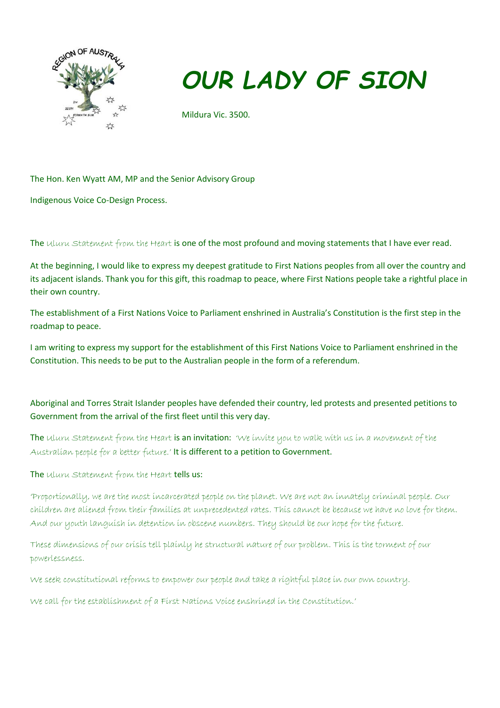

## *OUR LADY OF SION*

Mildura Vic. 3500.

The Hon. Ken Wyatt AM, MP and the Senior Advisory Group

Indigenous Voice Co-Design Process.

The uluru Statement from the Heart is one of the most profound and moving statements that I have ever read.

At the beginning, I would like to express my deepest gratitude to First Nations peoples from all over the country and its adjacent islands. Thank you for this gift, this roadmap to peace, where First Nations people take a rightful place in their own country.

The establishment of a First Nations Voice to Parliament enshrined in Australia's Constitution is the first step in the roadmap to peace.

I am writing to express my support for the establishment of this First Nations Voice to Parliament enshrined in the Constitution. This needs to be put to the Australian people in the form of a referendum.

Aboriginal and Torres Strait Islander peoples have defended their country, led protests and presented petitions to Government from the arrival of the first fleet until this very day.

The uluru statement from the Heart is an invitation: 'We invite you to walk with us in a movement of the Australian people for a better future.' It is different to a petition to Government.

The uluru statement from the Heart tells us:

'Proportionally, we are the most incarcerated people on the planet. We are not an innately criminal people. Our children are aliened from their families at unprecedented rates. This cannot be because we have no love for them. And our youth languish in detention in obscene numbers. They should be our hope for the future.

These dimensions of our crisis tell plainly he structural nature of our problem. This is the torment of our powerlessness.

We seek constitutional reforms to empower our people and take a rightful place in our own country.

We call for the establishment of a First Nations Voice enshrined in the Constitution.'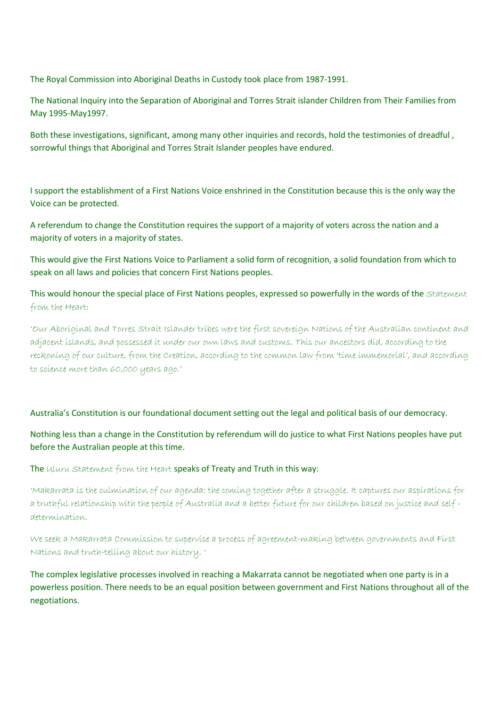The Royal Commission into Aboriginal Deaths in Custody took place from 1987-1991.

The National Inquiry into the Separation of Aboriginal and Torres Strait islander Children from Their Families from May 1995-May1997.

Both these investigations, significant, among many other inquiries and records, hold the testimonies of dreadful , sorrowful things that Aboriginal and Torres Strait Islander peoples have endured.

I support the establishment of a First Nations Voice enshrined in the Constitution because this is the only way the Voice can be protected.

A referendum to change the Constitution requires the support of a majority of voters across the nation and a majority of voters in a majority of states.

This would give the First Nations Voice to Parliament a solid form of recognition, a solid foundation from which to speak on all laws and policies that concern First Nations peoples.

This would honour the special place of First Nations peoples, expressed so powerfully in the words of the Statement from the Heart:

'Our Aboriginal and Torres Strait Islander tribes were the first sovereign Nations of the Australian continent and adjacent islands, and possessed it under our own laws and customs. This our ancestors did, according to the reckoning of our culture, from the Creation, according to the common law from 'time immemorial', and according to science more than 60,000 years ago.'

Australia's Constitution is our foundational document setting out the legal and political basis of our democracy.

Nothing less than a change in the Constitution by referendum will do justice to what First Nations peoples have put before the Australian people at this time.

The uluru statement from the Heart speaks of Treaty and Truth in this way:

'Makarrata is the culmination of our agenda: the coming together after a struggle. It captures our aspirations for a truthful relationship with the people of Australia and a better future for our children based on justice and self determination.

We seek a Makarrata Commission to supervise a process of agreement-making between governments and First Nations and truth-telling about our history. '

The complex legislative processes involved in reaching a Makarrata cannot be negotiated when one party is in a powerless position. There needs to be an equal position between government and First Nations throughout all of the negotiations.